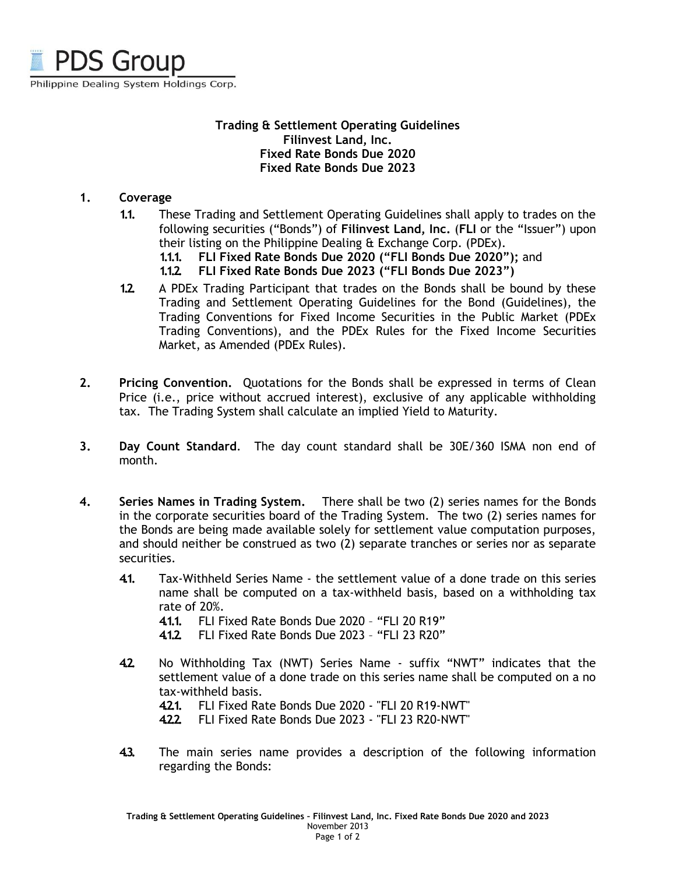

#### **Trading & Settlement Operating Guidelines Filinvest Land, Inc. Fixed Rate Bonds Due 2020 Fixed Rate Bonds Due 2023**

#### **1. Coverage**

- **1.1.** These Trading and Settlement Operating Guidelines shall apply to trades on the following securities ("Bonds") of **Filinvest Land, Inc.** (**FLI** or the "Issuer") upon their listing on the Philippine Dealing & Exchange Corp. (PDEx).
	- **1.1.1. FLI Fixed Rate Bonds Due 2020 ("FLI Bonds Due 2020");** and
	- **1.1.2. FLI Fixed Rate Bonds Due 2023 ("FLI Bonds Due 2023")**
- **1.2.** A PDEx Trading Participant that trades on the Bonds shall be bound by these Trading and Settlement Operating Guidelines for the Bond (Guidelines), the Trading Conventions for Fixed Income Securities in the Public Market (PDEx Trading Conventions), and the PDEx Rules for the Fixed Income Securities Market, as Amended (PDEx Rules).
- **2. Pricing Convention.** Quotations for the Bonds shall be expressed in terms of Clean Price (i.e., price without accrued interest), exclusive of any applicable withholding tax. The Trading System shall calculate an implied Yield to Maturity.
- **3. Day Count Standard**. The day count standard shall be 30E/360 ISMA non end of month.
- **4. Series Names in Trading System.** There shall be two (2) series names for the Bonds in the corporate securities board of the Trading System. The two (2) series names for the Bonds are being made available solely for settlement value computation purposes, and should neither be construed as two (2) separate tranches or series nor as separate securities.
	- **4.1.** Tax-Withheld Series Name the settlement value of a done trade on this series name shall be computed on a tax-withheld basis, based on a withholding tax rate of 20%.
		- **4.1.1.** FLI Fixed Rate Bonds Due 2020 "FLI 20 R19"
		- **4.1.2.** FLI Fixed Rate Bonds Due 2023 "FLI 23 R20"
	- **4.2.** No Withholding Tax (NWT) Series Name suffix "NWT" indicates that the settlement value of a done trade on this series name shall be computed on a no tax-withheld basis.
		- **4.2.1.** FLI Fixed Rate Bonds Due 2020 "FLI 20 R19-NWT"
		- **4.2.2.** FLI Fixed Rate Bonds Due 2023 "FLI 23 R20-NWT"
	- **4.3.** The main series name provides a description of the following information regarding the Bonds: